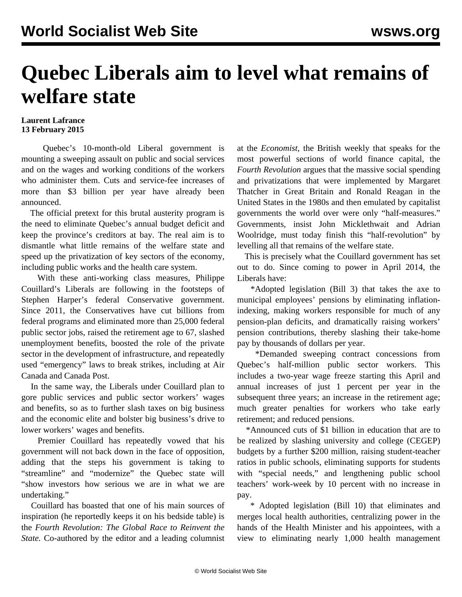## **Quebec Liberals aim to level what remains of welfare state**

## **Laurent Lafrance 13 February 2015**

 Quebec's 10-month-old Liberal government is mounting a sweeping assault on public and social services and on the wages and working conditions of the workers who administer them. Cuts and service-fee increases of more than \$3 billion per year have already been announced.

 The official pretext for this brutal austerity program is the need to eliminate Quebec's annual budget deficit and keep the province's creditors at bay. The real aim is to dismantle what little remains of the welfare state and speed up the privatization of key sectors of the economy, including public works and the health care system.

 With these anti-working class measures, Philippe Couillard's Liberals are following in the footsteps of Stephen Harper's federal Conservative government. Since 2011, the Conservatives have cut billions from federal programs and eliminated more than 25,000 federal public sector jobs, raised the retirement age to 67, slashed unemployment benefits, boosted the role of the private sector in the development of infrastructure, and repeatedly used "emergency" laws to break strikes, including at Air Canada and Canada Post.

 In the same way, the Liberals under Couillard plan to gore public services and public sector workers' wages and benefits, so as to further slash taxes on big business and the economic elite and bolster big business's drive to lower workers' wages and benefits.

 Premier Couillard has repeatedly vowed that his government will not back down in the face of opposition, adding that the steps his government is taking to "streamline" and "modernize" the Quebec state will "show investors how serious we are in what we are undertaking."

 Couillard has boasted that one of his main sources of inspiration (he reportedly keeps it on his bedside table) is the *Fourth Revolution: The Global Race to Reinvent the State.* Co-authored by the editor and a leading columnist at the *Economist*, the British weekly that speaks for the most powerful sections of world finance capital, the *Fourth Revolution* argues that the massive social spending and privatizations that were implemented by Margaret Thatcher in Great Britain and Ronald Reagan in the United States in the 1980s and then emulated by capitalist governments the world over were only "half-measures." Governments, insist John Micklethwait and Adrian Woolridge, must today finish this "half-revolution" by levelling all that remains of the welfare state.

 This is precisely what the Couillard government has set out to do. Since coming to power in April 2014, the Liberals have:

 \*Adopted legislation (Bill 3) that takes the axe to municipal employees' pensions by eliminating inflationindexing, making workers responsible for much of any pension-plan deficits, and dramatically raising workers' pension contributions, thereby slashing their take-home pay by thousands of dollars per year.

 \*Demanded sweeping contract concessions from Quebec's half-million public sector workers. This includes a two-year wage freeze starting this April and annual increases of just 1 percent per year in the subsequent three years; an increase in the retirement age; much greater penalties for workers who take early retirement; and reduced pensions.

 \*Announced cuts of \$1 billion in education that are to be realized by slashing university and college (CEGEP) budgets by a further \$200 million, raising student-teacher ratios in public schools, eliminating supports for students with "special needs," and lengthening public school teachers' work-week by 10 percent with no increase in pay.

 \* Adopted legislation (Bill 10) that eliminates and merges local health authorities, centralizing power in the hands of the Health Minister and his appointees, with a view to eliminating nearly 1,000 health management